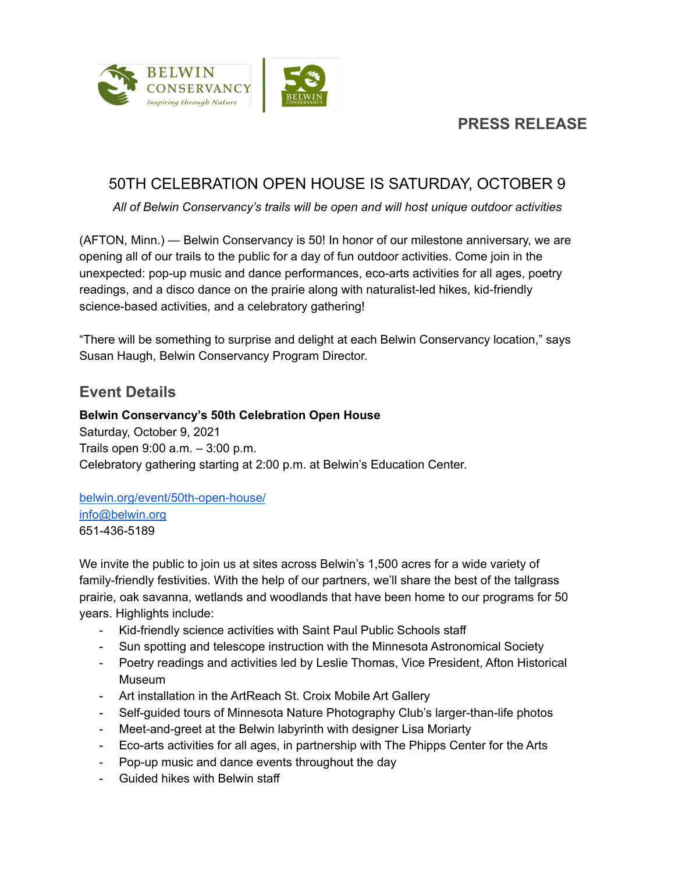

## **PRESS RELEASE**

## 50TH CELEBRATION OPEN HOUSE IS SATURDAY, OCTOBER 9

*All of Belwin Conservancy's trails will be open and will host unique outdoor activities*

(AFTON, Minn.) — Belwin Conservancy is 50! In honor of our milestone anniversary, we are opening all of our trails to the public for a day of fun outdoor activities. Come join in the unexpected: pop-up music and dance performances, eco-arts activities for all ages, poetry readings, and a disco dance on the prairie along with naturalist-led hikes, kid-friendly science-based activities, and a celebratory gathering!

"There will be something to surprise and delight at each Belwin Conservancy location," says Susan Haugh, Belwin Conservancy Program Director.

## **Event Details**

### **Belwin Conservancy's 50th Celebration Open House**

Saturday, October 9, 2021 Trails open 9:00 a.m. – 3:00 p.m. Celebratory gathering starting at 2:00 p.m. at Belwin's Education Center.

#### [belwin.org/event/50th-open-house/](https://belwin.org/event/50th-open-house/) [info@belwin.org](mailto:info@belwin.org) 651-436-5189

We invite the public to join us at sites across Belwin's 1,500 acres for a wide variety of family-friendly festivities. With the help of our partners, we'll share the best of the tallgrass prairie, oak savanna, wetlands and woodlands that have been home to our programs for 50 years. Highlights include:

- Kid-friendly science activities with Saint Paul Public Schools staff
- Sun spotting and telescope instruction with the Minnesota Astronomical Society
- Poetry readings and activities led by Leslie Thomas, Vice President, Afton Historical Museum
- Art installation in the ArtReach St. Croix Mobile Art Gallery
- Self-guided tours of Minnesota Nature Photography Club's larger-than-life photos
- Meet-and-greet at the Belwin labyrinth with designer Lisa Moriarty
- Eco-arts activities for all ages, in partnership with The Phipps Center for the Arts
- Pop-up music and dance events throughout the day
- Guided hikes with Belwin staff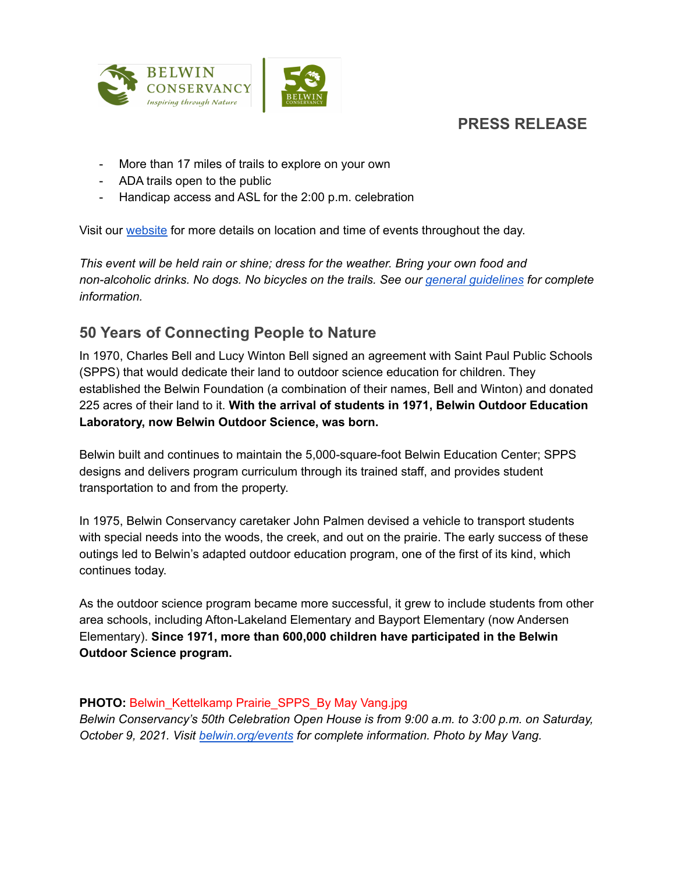



- More than 17 miles of trails to explore on your own
- ADA trails open to the public
- Handicap access and ASL for the 2:00 p.m. celebration

Visit our [website](http://www.belwin.org) for more details on location and time of events throughout the day.

*This event will be held rain or shine; dress for the weather. Bring your own food and non-alcoholic drinks. No dogs. No bicycles on the trails. See our general [guidelines](http://belwin.org/visit/#guidelines) for complete information.*

# **50 Years of Connecting People to Nature**

In 1970, Charles Bell and Lucy Winton Bell signed an agreement with Saint Paul Public Schools (SPPS) that would dedicate their land to outdoor science education for children. They established the Belwin Foundation (a combination of their names, Bell and Winton) and donated 225 acres of their land to it. **With the arrival of students in 1971, Belwin Outdoor Education Laboratory, now Belwin Outdoor Science, was born.**

Belwin built and continues to maintain the 5,000-square-foot Belwin Education Center; SPPS designs and delivers program curriculum through its trained staff, and provides student transportation to and from the property.

In 1975, Belwin Conservancy caretaker John Palmen devised a vehicle to transport students with special needs into the woods, the creek, and out on the prairie. The early success of these outings led to Belwin's adapted outdoor education program, one of the first of its kind, which continues today.

As the outdoor science program became more successful, it grew to include students from other area schools, including Afton-Lakeland Elementary and Bayport Elementary (now Andersen Elementary). **Since 1971, more than 600,000 children have participated in the Belwin Outdoor Science program.**

### **PHOTO:** Belwin\_Kettelkamp Prairie\_SPPS\_By May Vang.jpg

*Belwin Conservancy's 50th Celebration Open House is from 9:00 a.m. to 3:00 p.m. on Saturday, October 9, 2021. Visit [belwin.org/events](https://belwin.org/events/) for complete information. Photo by May Vang.*